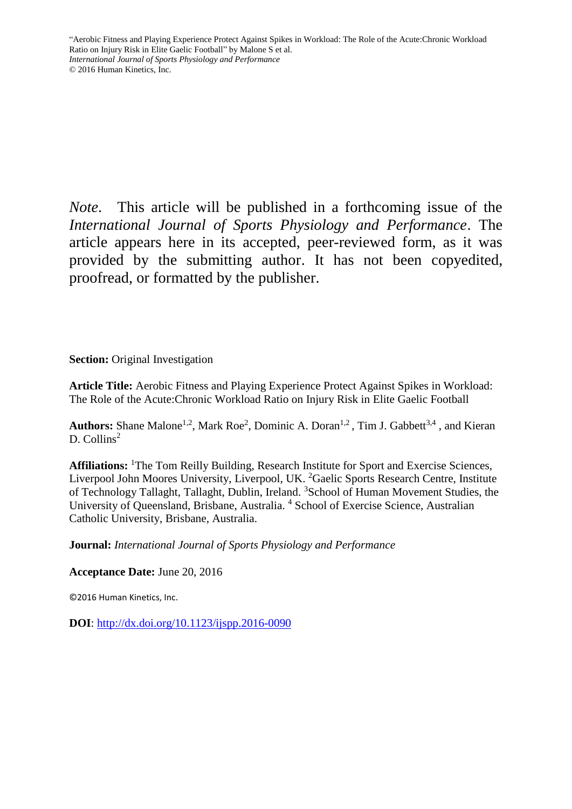*Note*. This article will be published in a forthcoming issue of the *International Journal of Sports Physiology and Performance*. The article appears here in its accepted, peer-reviewed form, as it was provided by the submitting author. It has not been copyedited, proofread, or formatted by the publisher.

**Section:** Original Investigation

**Article Title:** Aerobic Fitness and Playing Experience Protect Against Spikes in Workload: The Role of the Acute:Chronic Workload Ratio on Injury Risk in Elite Gaelic Football

Authors: Shane Malone<sup>1,2</sup>, Mark Roe<sup>2</sup>, Dominic A. Doran<sup>1,2</sup>, Tim J. Gabbett<sup>3,4</sup>, and Kieran D. Collins<sup>2</sup>

**Affiliations:** <sup>1</sup>The Tom Reilly Building, Research Institute for Sport and Exercise Sciences, Liverpool John Moores University, Liverpool, UK. <sup>2</sup>Gaelic Sports Research Centre, Institute of Technology Tallaght, Tallaght, Dublin, Ireland. <sup>3</sup>School of Human Movement Studies, the University of Queensland, Brisbane, Australia. <sup>4</sup> School of Exercise Science, Australian Catholic University, Brisbane, Australia.

**Journal:** *International Journal of Sports Physiology and Performance*

**Acceptance Date:** June 20, 2016

©2016 Human Kinetics, Inc.

**DOI**:<http://dx.doi.org/10.1123/ijspp.2016-0090>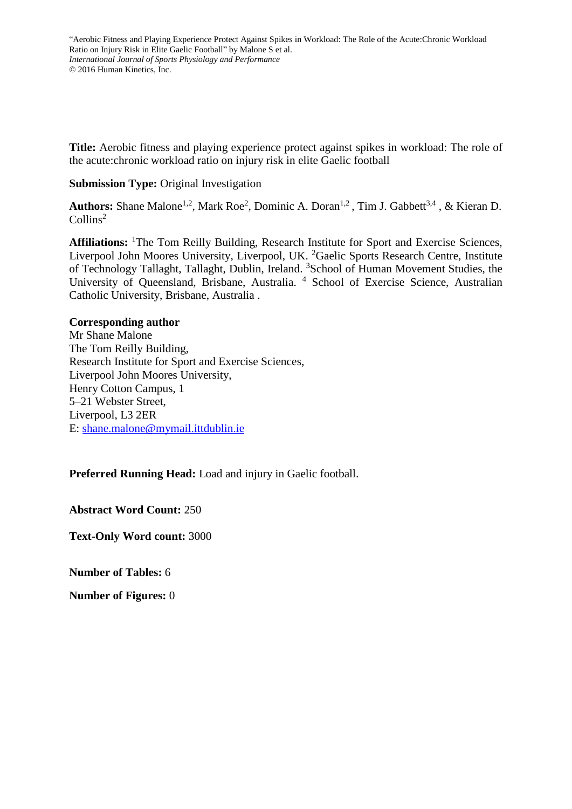**Title:** Aerobic fitness and playing experience protect against spikes in workload: The role of the acute:chronic workload ratio on injury risk in elite Gaelic football

## **Submission Type: Original Investigation**

Authors: Shane Malone<sup>1,2</sup>, Mark Roe<sup>2</sup>, Dominic A. Doran<sup>1,2</sup>, Tim J. Gabbett<sup>3,4</sup>, & Kieran D. Collins<sup>2</sup>

Affiliations: <sup>1</sup>The Tom Reilly Building, Research Institute for Sport and Exercise Sciences, Liverpool John Moores University, Liverpool, UK. <sup>2</sup>Gaelic Sports Research Centre, Institute of Technology Tallaght, Tallaght, Dublin, Ireland. <sup>3</sup>School of Human Movement Studies, the University of Queensland, Brisbane, Australia. <sup>4</sup> School of Exercise Science, Australian Catholic University, Brisbane, Australia .

# **Corresponding author**

Mr Shane Malone The Tom Reilly Building, Research Institute for Sport and Exercise Sciences, Liverpool John Moores University, Henry Cotton Campus, 1 5–21 Webster Street, Liverpool, L3 2ER E: [shane.malone@mymail.ittdublin.ie](mailto:shane.malone@mymail.ittdublin.ie)

**Preferred Running Head:** Load and injury in Gaelic football.

**Abstract Word Count:** 250

**Text-Only Word count:** 3000

**Number of Tables:** 6

**Number of Figures:** 0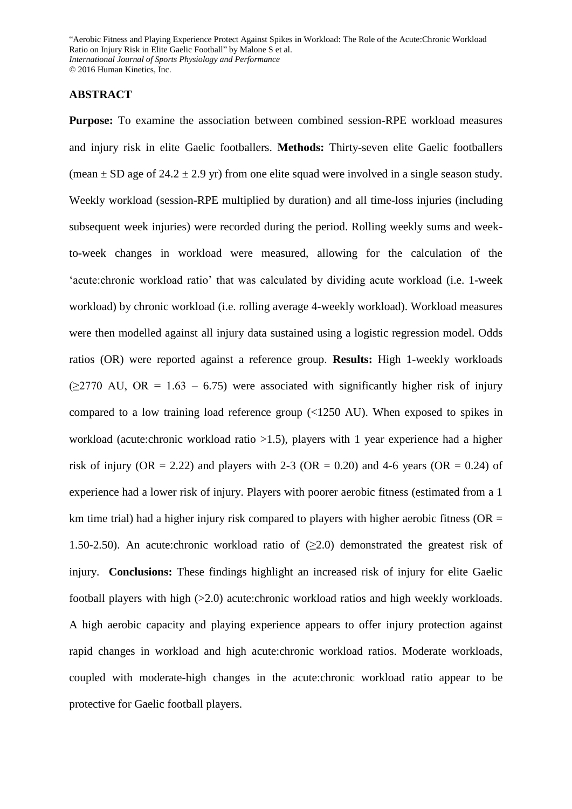### **ABSTRACT**

**Purpose:** To examine the association between combined session-RPE workload measures and injury risk in elite Gaelic footballers. **Methods:** Thirty-seven elite Gaelic footballers (mean  $\pm$  SD age of 24.2  $\pm$  2.9 yr) from one elite squad were involved in a single season study. Weekly workload (session-RPE multiplied by duration) and all time-loss injuries (including subsequent week injuries) were recorded during the period. Rolling weekly sums and weekto-week changes in workload were measured, allowing for the calculation of the 'acute:chronic workload ratio' that was calculated by dividing acute workload (i.e. 1-week workload) by chronic workload (i.e. rolling average 4-weekly workload). Workload measures were then modelled against all injury data sustained using a logistic regression model. Odds ratios (OR) were reported against a reference group. **Results:** High 1-weekly workloads  $(>=2770$  AU, OR = 1.63 – 6.75) were associated with significantly higher risk of injury compared to a low training load reference group (<1250 AU). When exposed to spikes in workload (acute:chronic workload ratio >1.5), players with 1 year experience had a higher risk of injury (OR = 2.22) and players with 2-3 (OR = 0.20) and 4-6 years (OR = 0.24) of experience had a lower risk of injury. Players with poorer aerobic fitness (estimated from a 1 km time trial) had a higher injury risk compared to players with higher aerobic fitness ( $OR =$ 1.50-2.50). An acute:chronic workload ratio of  $(\geq 2.0)$  demonstrated the greatest risk of injury. **Conclusions:** These findings highlight an increased risk of injury for elite Gaelic football players with high (>2.0) acute:chronic workload ratios and high weekly workloads. A high aerobic capacity and playing experience appears to offer injury protection against rapid changes in workload and high acute:chronic workload ratios. Moderate workloads, coupled with moderate-high changes in the acute:chronic workload ratio appear to be protective for Gaelic football players.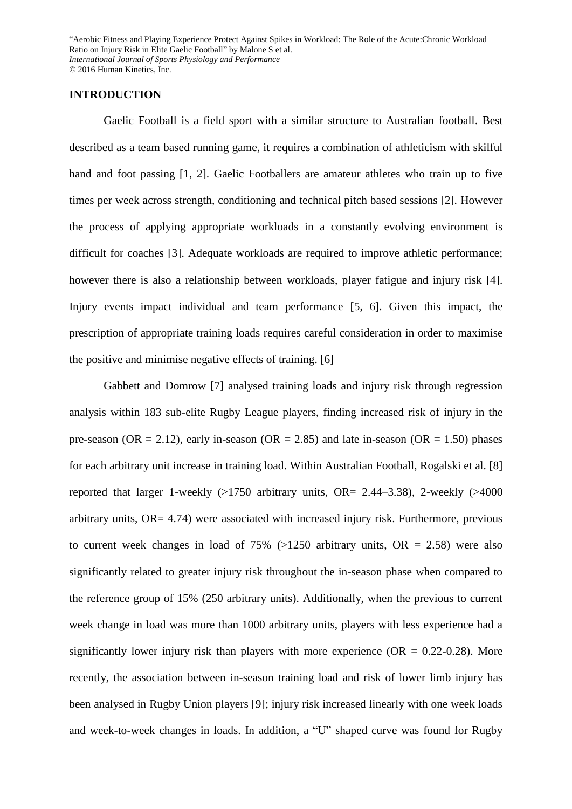### **INTRODUCTION**

Gaelic Football is a field sport with a similar structure to Australian football. Best described as a team based running game, it requires a combination of athleticism with skilful hand and foot passing [1, 2]. Gaelic Footballers are amateur athletes who train up to five times per week across strength, conditioning and technical pitch based sessions [2]. However the process of applying appropriate workloads in a constantly evolving environment is difficult for coaches [3]. Adequate workloads are required to improve athletic performance; however there is also a relationship between workloads, player fatigue and injury risk [4]. Injury events impact individual and team performance [5, 6]. Given this impact, the prescription of appropriate training loads requires careful consideration in order to maximise the positive and minimise negative effects of training. [6]

Gabbett and Domrow [7] analysed training loads and injury risk through regression analysis within 183 sub-elite Rugby League players, finding increased risk of injury in the pre-season (OR = 2.12), early in-season (OR = 2.85) and late in-season (OR = 1.50) phases for each arbitrary unit increase in training load. Within Australian Football, Rogalski et al. [8] reported that larger 1-weekly  $(>1750$  arbitrary units, OR= 2.44–3.38), 2-weekly  $(>4000$ arbitrary units, OR= 4.74) were associated with increased injury risk. Furthermore, previous to current week changes in load of  $75\%$  ( $>1250$  arbitrary units, OR = 2.58) were also significantly related to greater injury risk throughout the in-season phase when compared to the reference group of 15% (250 arbitrary units). Additionally, when the previous to current week change in load was more than 1000 arbitrary units, players with less experience had a significantly lower injury risk than players with more experience  $(OR = 0.22{\text -}0.28)$ . More recently, the association between in-season training load and risk of lower limb injury has been analysed in Rugby Union players [9]; injury risk increased linearly with one week loads and week-to-week changes in loads. In addition, a "U" shaped curve was found for Rugby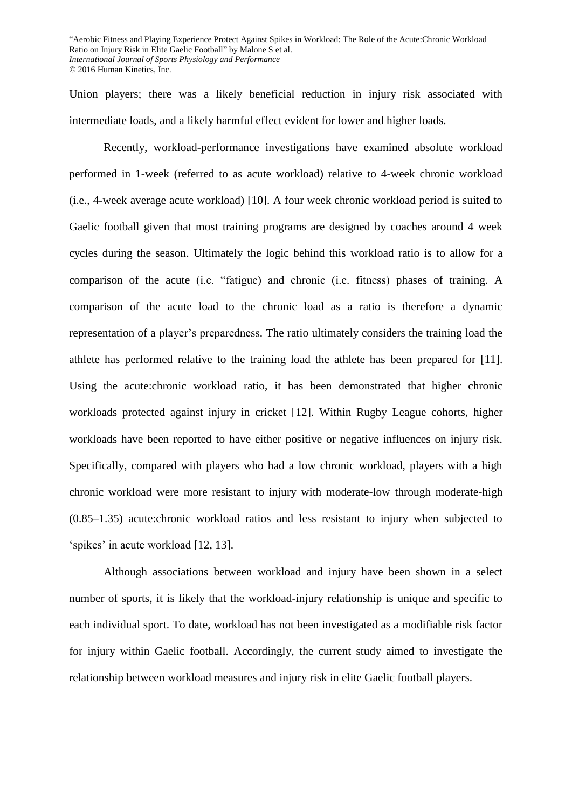Union players; there was a likely beneficial reduction in injury risk associated with intermediate loads, and a likely harmful effect evident for lower and higher loads.

Recently, workload-performance investigations have examined absolute workload performed in 1-week (referred to as acute workload) relative to 4-week chronic workload (i.e., 4-week average acute workload) [10]. A four week chronic workload period is suited to Gaelic football given that most training programs are designed by coaches around 4 week cycles during the season. Ultimately the logic behind this workload ratio is to allow for a comparison of the acute (i.e. "fatigue) and chronic (i.e. fitness) phases of training. A comparison of the acute load to the chronic load as a ratio is therefore a dynamic representation of a player's preparedness. The ratio ultimately considers the training load the athlete has performed relative to the training load the athlete has been prepared for [11]. Using the acute:chronic workload ratio, it has been demonstrated that higher chronic workloads protected against injury in cricket [12]. Within Rugby League cohorts, higher workloads have been reported to have either positive or negative influences on injury risk. Specifically, compared with players who had a low chronic workload, players with a high chronic workload were more resistant to injury with moderate-low through moderate-high (0.85–1.35) acute:chronic workload ratios and less resistant to injury when subjected to 'spikes' in acute workload [12, 13].

Although associations between workload and injury have been shown in a select number of sports, it is likely that the workload-injury relationship is unique and specific to each individual sport. To date, workload has not been investigated as a modifiable risk factor for injury within Gaelic football. Accordingly, the current study aimed to investigate the relationship between workload measures and injury risk in elite Gaelic football players.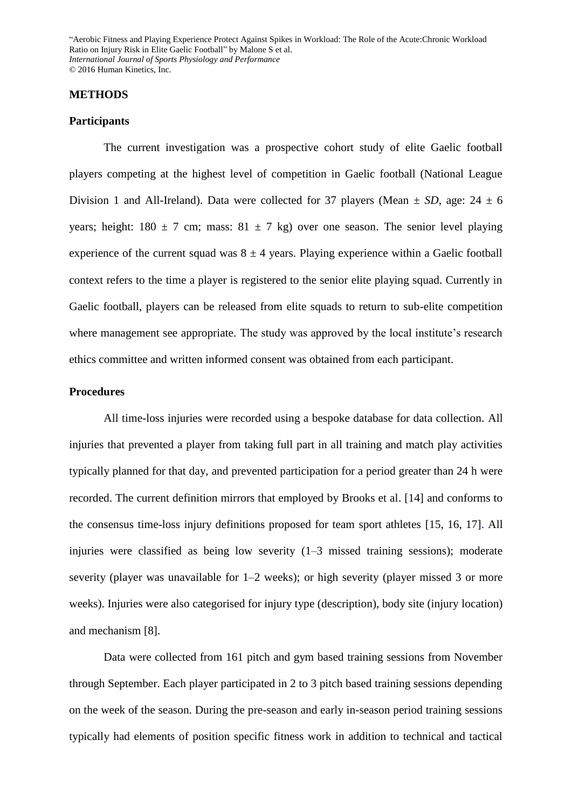#### **METHODS**

#### **Participants**

The current investigation was a prospective cohort study of elite Gaelic football players competing at the highest level of competition in Gaelic football (National League Division 1 and All-Ireland). Data were collected for 37 players (Mean  $\pm SD$ , age: 24  $\pm 6$ years; height:  $180 \pm 7$  cm; mass:  $81 \pm 7$  kg) over one season. The senior level playing experience of the current squad was  $8 \pm 4$  years. Playing experience within a Gaelic football context refers to the time a player is registered to the senior elite playing squad. Currently in Gaelic football, players can be released from elite squads to return to sub-elite competition where management see appropriate. The study was approved by the local institute's research ethics committee and written informed consent was obtained from each participant.

### **Procedures**

All time-loss injuries were recorded using a bespoke database for data collection. All injuries that prevented a player from taking full part in all training and match play activities typically planned for that day, and prevented participation for a period greater than 24 h were recorded. The current definition mirrors that employed by Brooks et al. [14] and conforms to the consensus time-loss injury definitions proposed for team sport athletes [15, 16, 17]. All injuries were classified as being low severity (1–3 missed training sessions); moderate severity (player was unavailable for 1–2 weeks); or high severity (player missed 3 or more weeks). Injuries were also categorised for injury type (description), body site (injury location) and mechanism [8].

Data were collected from 161 pitch and gym based training sessions from November through September. Each player participated in 2 to 3 pitch based training sessions depending on the week of the season. During the pre-season and early in-season period training sessions typically had elements of position specific fitness work in addition to technical and tactical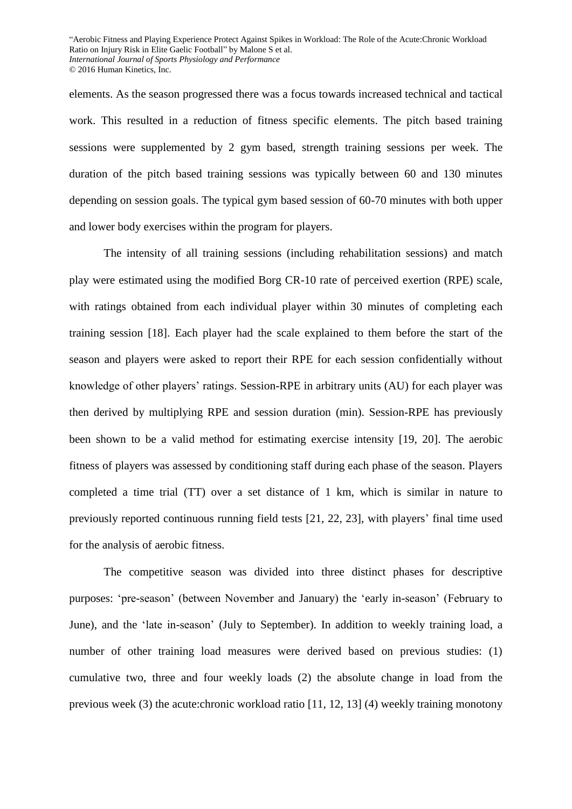elements. As the season progressed there was a focus towards increased technical and tactical work. This resulted in a reduction of fitness specific elements. The pitch based training sessions were supplemented by 2 gym based, strength training sessions per week. The duration of the pitch based training sessions was typically between 60 and 130 minutes depending on session goals. The typical gym based session of 60-70 minutes with both upper and lower body exercises within the program for players.

The intensity of all training sessions (including rehabilitation sessions) and match play were estimated using the modified Borg CR-10 rate of perceived exertion (RPE) scale, with ratings obtained from each individual player within 30 minutes of completing each training session [18]. Each player had the scale explained to them before the start of the season and players were asked to report their RPE for each session confidentially without knowledge of other players' ratings. Session-RPE in arbitrary units (AU) for each player was then derived by multiplying RPE and session duration (min). Session-RPE has previously been shown to be a valid method for estimating exercise intensity [19, 20]. The aerobic fitness of players was assessed by conditioning staff during each phase of the season. Players completed a time trial (TT) over a set distance of 1 km, which is similar in nature to previously reported continuous running field tests [21, 22, 23], with players' final time used for the analysis of aerobic fitness.

The competitive season was divided into three distinct phases for descriptive purposes: 'pre-season' (between November and January) the 'early in-season' (February to June), and the 'late in-season' (July to September). In addition to weekly training load, a number of other training load measures were derived based on previous studies: (1) cumulative two, three and four weekly loads (2) the absolute change in load from the previous week (3) the acute:chronic workload ratio [11, 12, 13] (4) weekly training monotony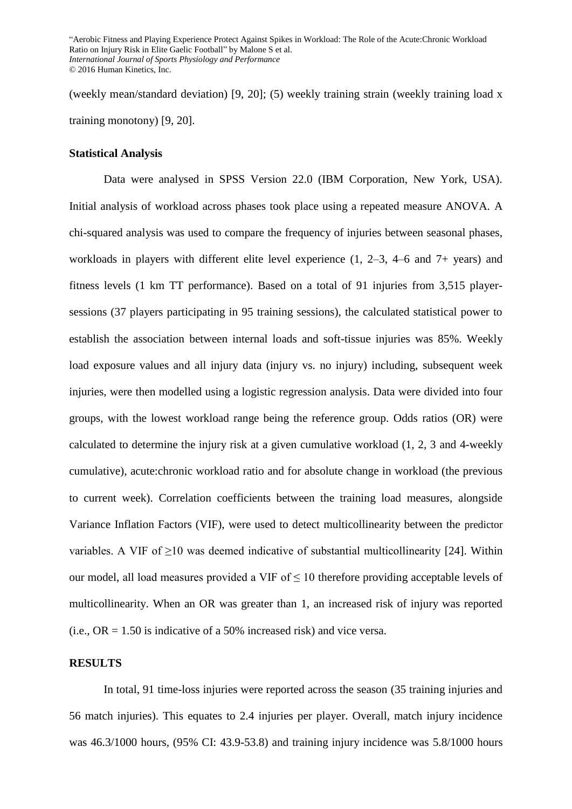(weekly mean/standard deviation) [9, 20]; (5) weekly training strain (weekly training load x training monotony) [9, 20].

#### **Statistical Analysis**

Data were analysed in SPSS Version 22.0 (IBM Corporation, New York, USA). Initial analysis of workload across phases took place using a repeated measure ANOVA. A chi-squared analysis was used to compare the frequency of injuries between seasonal phases, workloads in players with different elite level experience (1, 2–3, 4–6 and 7+ years) and fitness levels (1 km TT performance). Based on a total of 91 injuries from 3,515 playersessions (37 players participating in 95 training sessions), the calculated statistical power to establish the association between internal loads and soft-tissue injuries was 85%. Weekly load exposure values and all injury data (injury vs. no injury) including, subsequent week injuries, were then modelled using a logistic regression analysis. Data were divided into four groups, with the lowest workload range being the reference group. Odds ratios (OR) were calculated to determine the injury risk at a given cumulative workload (1, 2, 3 and 4-weekly cumulative), acute:chronic workload ratio and for absolute change in workload (the previous to current week). Correlation coefficients between the training load measures, alongside Variance Inflation Factors (VIF), were used to detect multicollinearity between the predictor variables. A VIF of  $\geq$ 10 was deemed indicative of substantial multicollinearity [24]. Within our model, all load measures provided a VIF of  $\leq 10$  therefore providing acceptable levels of multicollinearity. When an OR was greater than 1, an increased risk of injury was reported (i.e.,  $OR = 1.50$  is indicative of a 50% increased risk) and vice versa.

### **RESULTS**

In total, 91 time-loss injuries were reported across the season (35 training injuries and 56 match injuries). This equates to 2.4 injuries per player. Overall, match injury incidence was 46.3/1000 hours, (95% CI: 43.9-53.8) and training injury incidence was 5.8/1000 hours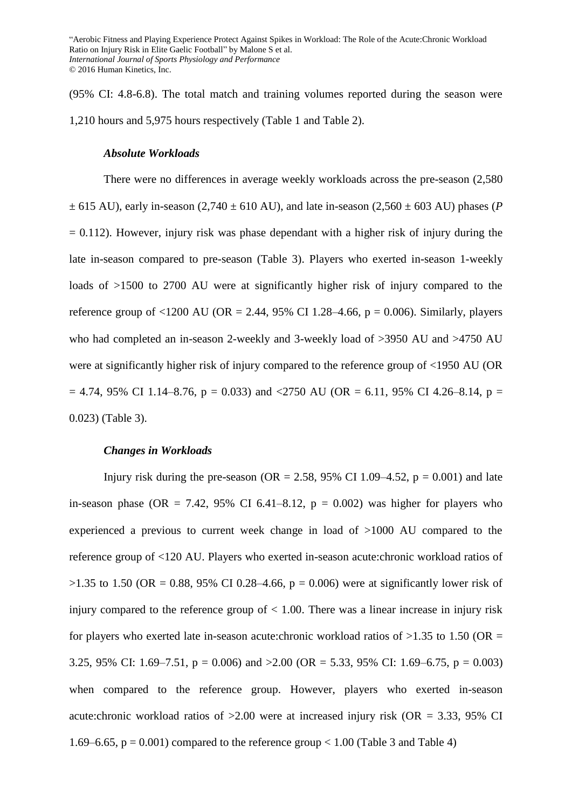(95% CI: 4.8-6.8). The total match and training volumes reported during the season were 1,210 hours and 5,975 hours respectively (Table 1 and Table 2).

#### *Absolute Workloads*

There were no differences in average weekly workloads across the pre-season (2,580  $\pm$  615 AU), early in-season (2,740  $\pm$  610 AU), and late in-season (2,560  $\pm$  603 AU) phases (*P*)  $= 0.112$ ). However, injury risk was phase dependant with a higher risk of injury during the late in-season compared to pre-season (Table 3). Players who exerted in-season 1-weekly loads of  $>1500$  to 2700 AU were at significantly higher risk of injury compared to the reference group of  $\langle 1200 \text{ AU } (\text{OR} = 2.44, 95\% \text{ CI } 1.28-4.66, p = 0.006)$ . Similarly, players who had completed an in-season 2-weekly and 3-weekly load of >3950 AU and >4750 AU were at significantly higher risk of injury compared to the reference group of <1950 AU (OR  $= 4.74$ , 95% CI 1.14–8.76, p = 0.033) and <2750 AU (OR = 6.11, 95% CI 4.26–8.14, p = 0.023) (Table 3).

#### *Changes in Workloads*

Injury risk during the pre-season (OR = 2.58, 95% CI 1.09–4.52,  $p = 0.001$ ) and late in-season phase (OR = 7.42, 95% CI 6.41–8.12,  $p = 0.002$ ) was higher for players who experienced a previous to current week change in load of >1000 AU compared to the reference group of <120 AU. Players who exerted in-season acute:chronic workload ratios of  $>1.35$  to 1.50 (OR = 0.88, 95% CI 0.28–4.66, p = 0.006) were at significantly lower risk of injury compared to the reference group of  $< 1.00$ . There was a linear increase in injury risk for players who exerted late in-season acute:chronic workload ratios of  $>1.35$  to 1.50 (OR = 3.25, 95% CI: 1.69–7.51,  $p = 0.006$ ) and  $>2.00$  (OR = 5.33, 95% CI: 1.69–6.75,  $p = 0.003$ ) when compared to the reference group. However, players who exerted in-season acute:chronic workload ratios of  $>2.00$  were at increased injury risk (OR = 3.33, 95% CI 1.69–6.65,  $p = 0.001$ ) compared to the reference group < 1.00 (Table 3 and Table 4)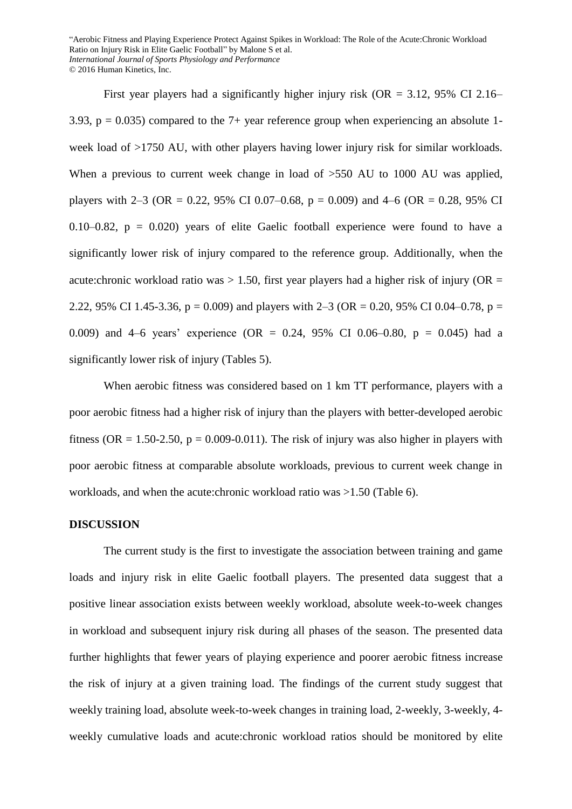First year players had a significantly higher injury risk (OR =  $3.12$ , 95% CI 2.16– 3.93,  $p = 0.035$ ) compared to the 7+ year reference group when experiencing an absolute 1week load of >1750 AU, with other players having lower injury risk for similar workloads. When a previous to current week change in load of  $>550$  AU to 1000 AU was applied, players with 2–3 (OR = 0.22, 95% CI 0.07–0.68, p = 0.009) and 4–6 (OR = 0.28, 95% CI 0.10–0.82,  $p = 0.020$  years of elite Gaelic football experience were found to have a significantly lower risk of injury compared to the reference group. Additionally, when the acute:chronic workload ratio was  $> 1.50$ , first year players had a higher risk of injury (OR = 2.22, 95% CI 1.45-3.36,  $p = 0.009$ ) and players with 2–3 (OR = 0.20, 95% CI 0.04–0.78,  $p =$ 0.009) and 4–6 years' experience (OR = 0.24, 95% CI 0.06–0.80,  $p = 0.045$ ) had a significantly lower risk of injury (Tables 5).

When aerobic fitness was considered based on 1 km TT performance, players with a poor aerobic fitness had a higher risk of injury than the players with better-developed aerobic fitness (OR = 1.50-2.50,  $p = 0.009$ -0.011). The risk of injury was also higher in players with poor aerobic fitness at comparable absolute workloads, previous to current week change in workloads, and when the acute:chronic workload ratio was >1.50 (Table 6).

#### **DISCUSSION**

The current study is the first to investigate the association between training and game loads and injury risk in elite Gaelic football players. The presented data suggest that a positive linear association exists between weekly workload, absolute week-to-week changes in workload and subsequent injury risk during all phases of the season. The presented data further highlights that fewer years of playing experience and poorer aerobic fitness increase the risk of injury at a given training load. The findings of the current study suggest that weekly training load, absolute week-to-week changes in training load, 2-weekly, 3-weekly, 4 weekly cumulative loads and acute:chronic workload ratios should be monitored by elite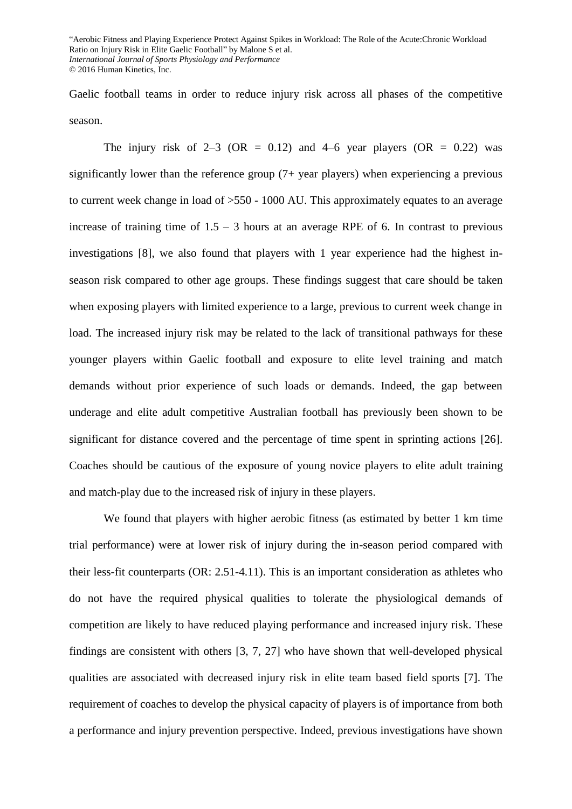Gaelic football teams in order to reduce injury risk across all phases of the competitive season.

The injury risk of  $2-3$  (OR = 0.12) and 4–6 year players (OR = 0.22) was significantly lower than the reference group (7+ year players) when experiencing a previous to current week change in load of >550 - 1000 AU. This approximately equates to an average increase of training time of  $1.5 - 3$  hours at an average RPE of 6. In contrast to previous investigations [8], we also found that players with 1 year experience had the highest inseason risk compared to other age groups. These findings suggest that care should be taken when exposing players with limited experience to a large, previous to current week change in load. The increased injury risk may be related to the lack of transitional pathways for these younger players within Gaelic football and exposure to elite level training and match demands without prior experience of such loads or demands. Indeed, the gap between underage and elite adult competitive Australian football has previously been shown to be significant for distance covered and the percentage of time spent in sprinting actions [26]. Coaches should be cautious of the exposure of young novice players to elite adult training and match-play due to the increased risk of injury in these players.

We found that players with higher aerobic fitness (as estimated by better 1 km time trial performance) were at lower risk of injury during the in-season period compared with their less-fit counterparts (OR: 2.51-4.11). This is an important consideration as athletes who do not have the required physical qualities to tolerate the physiological demands of competition are likely to have reduced playing performance and increased injury risk. These findings are consistent with others [3, 7, 27] who have shown that well-developed physical qualities are associated with decreased injury risk in elite team based field sports [7]. The requirement of coaches to develop the physical capacity of players is of importance from both a performance and injury prevention perspective. Indeed, previous investigations have shown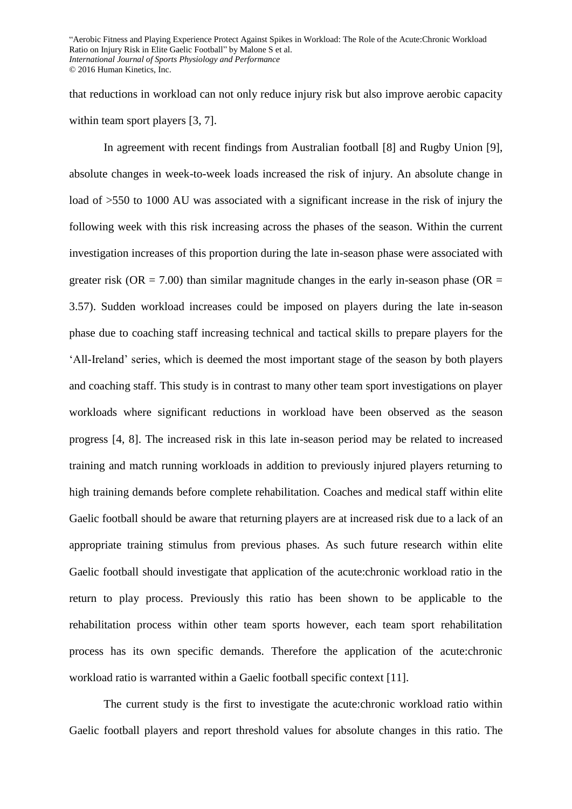that reductions in workload can not only reduce injury risk but also improve aerobic capacity within team sport players [3, 7].

In agreement with recent findings from Australian football [8] and Rugby Union [9], absolute changes in week-to-week loads increased the risk of injury. An absolute change in load of  $>550$  to 1000 AU was associated with a significant increase in the risk of injury the following week with this risk increasing across the phases of the season. Within the current investigation increases of this proportion during the late in-season phase were associated with greater risk (OR = 7.00) than similar magnitude changes in the early in-season phase (OR = 3.57). Sudden workload increases could be imposed on players during the late in-season phase due to coaching staff increasing technical and tactical skills to prepare players for the 'All-Ireland' series, which is deemed the most important stage of the season by both players and coaching staff. This study is in contrast to many other team sport investigations on player workloads where significant reductions in workload have been observed as the season progress [4, 8]. The increased risk in this late in-season period may be related to increased training and match running workloads in addition to previously injured players returning to high training demands before complete rehabilitation. Coaches and medical staff within elite Gaelic football should be aware that returning players are at increased risk due to a lack of an appropriate training stimulus from previous phases. As such future research within elite Gaelic football should investigate that application of the acute:chronic workload ratio in the return to play process. Previously this ratio has been shown to be applicable to the rehabilitation process within other team sports however, each team sport rehabilitation process has its own specific demands. Therefore the application of the acute:chronic workload ratio is warranted within a Gaelic football specific context [11].

The current study is the first to investigate the acute:chronic workload ratio within Gaelic football players and report threshold values for absolute changes in this ratio. The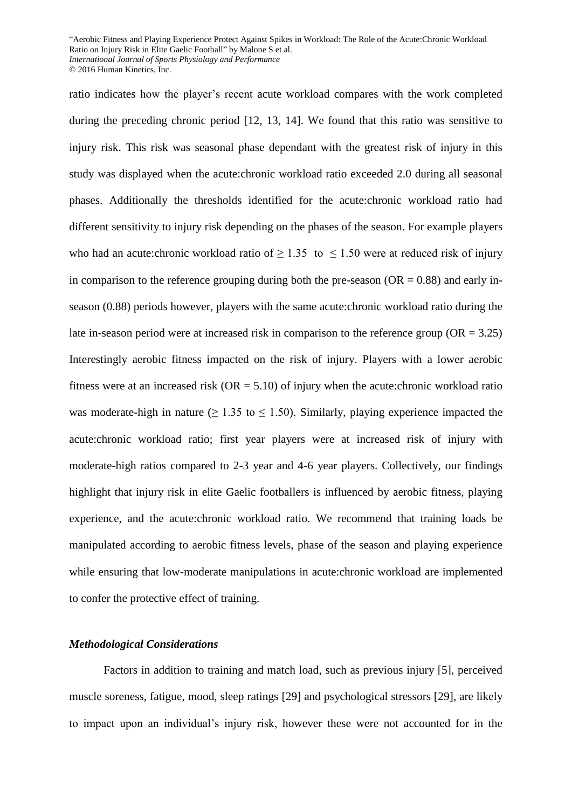ratio indicates how the player's recent acute workload compares with the work completed during the preceding chronic period [12, 13, 14]. We found that this ratio was sensitive to injury risk. This risk was seasonal phase dependant with the greatest risk of injury in this study was displayed when the acute:chronic workload ratio exceeded 2.0 during all seasonal phases. Additionally the thresholds identified for the acute:chronic workload ratio had different sensitivity to injury risk depending on the phases of the season. For example players who had an acute:chronic workload ratio of  $\geq 1.35$  to  $\leq 1.50$  were at reduced risk of injury in comparison to the reference grouping during both the pre-season ( $OR = 0.88$ ) and early inseason (0.88) periods however, players with the same acute:chronic workload ratio during the late in-season period were at increased risk in comparison to the reference group ( $OR = 3.25$ ) Interestingly aerobic fitness impacted on the risk of injury. Players with a lower aerobic fitness were at an increased risk  $(OR = 5.10)$  of injury when the acute:chronic workload ratio was moderate-high in nature ( $> 1.35$  to  $< 1.50$ ). Similarly, playing experience impacted the acute:chronic workload ratio; first year players were at increased risk of injury with moderate-high ratios compared to 2-3 year and 4-6 year players. Collectively, our findings highlight that injury risk in elite Gaelic footballers is influenced by aerobic fitness, playing experience, and the acute:chronic workload ratio. We recommend that training loads be manipulated according to aerobic fitness levels, phase of the season and playing experience while ensuring that low-moderate manipulations in acute:chronic workload are implemented to confer the protective effect of training.

#### *Methodological Considerations*

Factors in addition to training and match load, such as previous injury [5], perceived muscle soreness, fatigue, mood, sleep ratings [29] and psychological stressors [29], are likely to impact upon an individual's injury risk, however these were not accounted for in the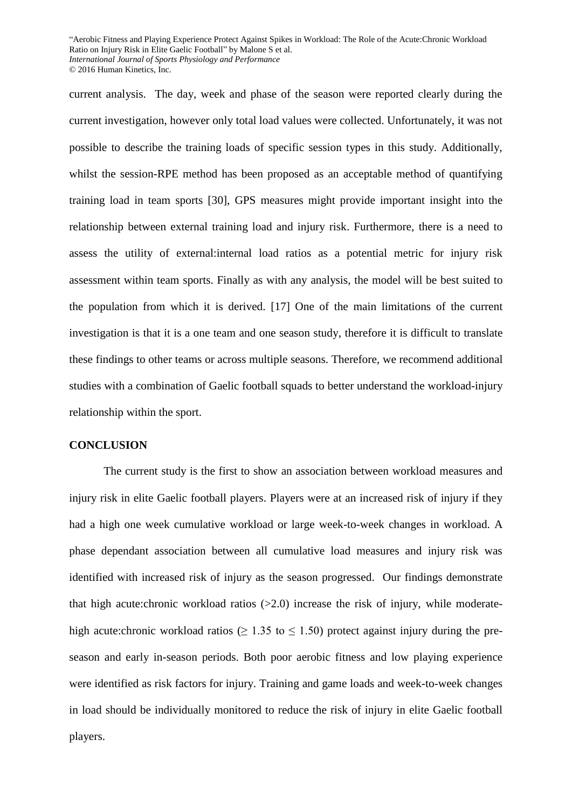current analysis. The day, week and phase of the season were reported clearly during the current investigation, however only total load values were collected. Unfortunately, it was not possible to describe the training loads of specific session types in this study. Additionally, whilst the session-RPE method has been proposed as an acceptable method of quantifying training load in team sports [30], GPS measures might provide important insight into the relationship between external training load and injury risk. Furthermore, there is a need to assess the utility of external:internal load ratios as a potential metric for injury risk assessment within team sports. Finally as with any analysis, the model will be best suited to the population from which it is derived. [17] One of the main limitations of the current investigation is that it is a one team and one season study, therefore it is difficult to translate these findings to other teams or across multiple seasons. Therefore, we recommend additional studies with a combination of Gaelic football squads to better understand the workload-injury relationship within the sport.

### **CONCLUSION**

The current study is the first to show an association between workload measures and injury risk in elite Gaelic football players. Players were at an increased risk of injury if they had a high one week cumulative workload or large week-to-week changes in workload. A phase dependant association between all cumulative load measures and injury risk was identified with increased risk of injury as the season progressed. Our findings demonstrate that high acute:chronic workload ratios  $(>2.0)$  increase the risk of injury, while moderatehigh acute:chronic workload ratios ( $\geq 1.35$  to  $\leq 1.50$ ) protect against injury during the preseason and early in-season periods. Both poor aerobic fitness and low playing experience were identified as risk factors for injury. Training and game loads and week-to-week changes in load should be individually monitored to reduce the risk of injury in elite Gaelic football players.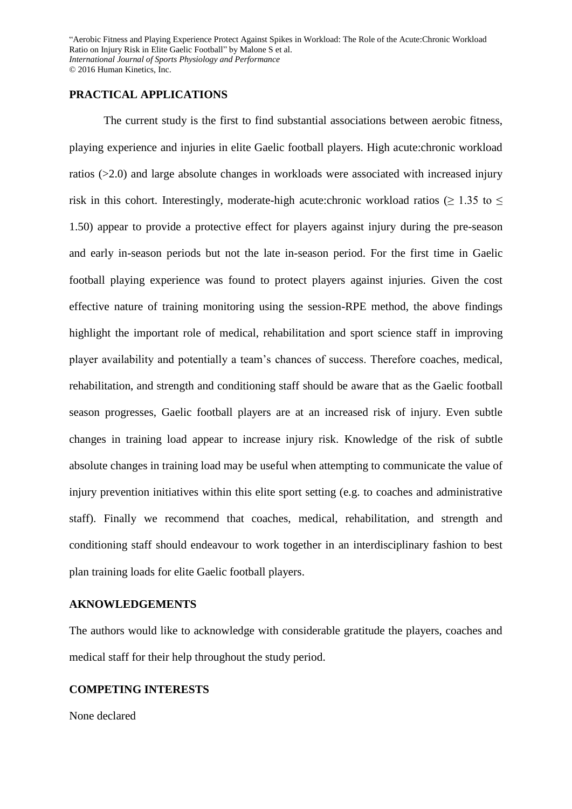## **PRACTICAL APPLICATIONS**

The current study is the first to find substantial associations between aerobic fitness, playing experience and injuries in elite Gaelic football players. High acute:chronic workload ratios (>2.0) and large absolute changes in workloads were associated with increased injury risk in this cohort. Interestingly, moderate-high acute:chronic workload ratios ( $\geq 1.35$  to  $\leq$ 1.50) appear to provide a protective effect for players against injury during the pre-season and early in-season periods but not the late in-season period. For the first time in Gaelic football playing experience was found to protect players against injuries. Given the cost effective nature of training monitoring using the session-RPE method, the above findings highlight the important role of medical, rehabilitation and sport science staff in improving player availability and potentially a team's chances of success. Therefore coaches, medical, rehabilitation, and strength and conditioning staff should be aware that as the Gaelic football season progresses, Gaelic football players are at an increased risk of injury. Even subtle changes in training load appear to increase injury risk. Knowledge of the risk of subtle absolute changes in training load may be useful when attempting to communicate the value of injury prevention initiatives within this elite sport setting (e.g. to coaches and administrative staff). Finally we recommend that coaches, medical, rehabilitation, and strength and conditioning staff should endeavour to work together in an interdisciplinary fashion to best plan training loads for elite Gaelic football players.

## **AKNOWLEDGEMENTS**

The authors would like to acknowledge with considerable gratitude the players, coaches and medical staff for their help throughout the study period.

## **COMPETING INTERESTS**

None declared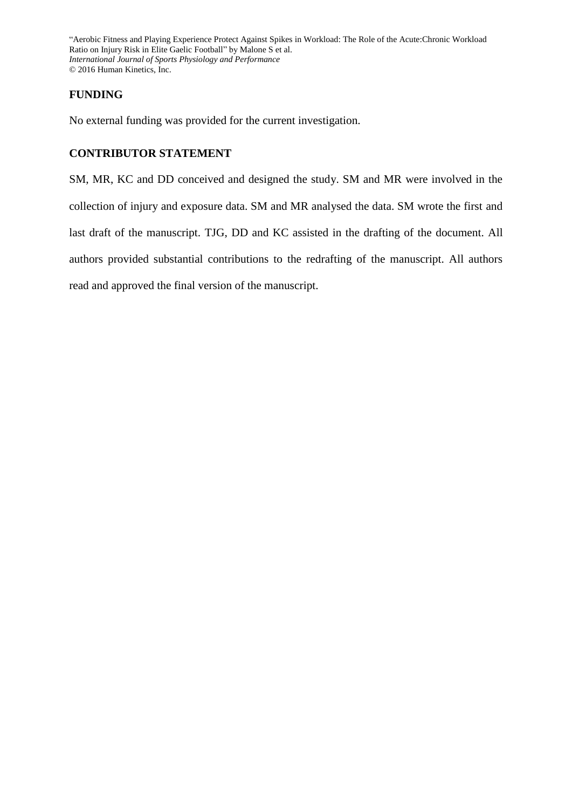# **FUNDING**

No external funding was provided for the current investigation.

# **CONTRIBUTOR STATEMENT**

SM, MR, KC and DD conceived and designed the study. SM and MR were involved in the collection of injury and exposure data. SM and MR analysed the data. SM wrote the first and last draft of the manuscript. TJG, DD and KC assisted in the drafting of the document. All authors provided substantial contributions to the redrafting of the manuscript. All authors read and approved the final version of the manuscript.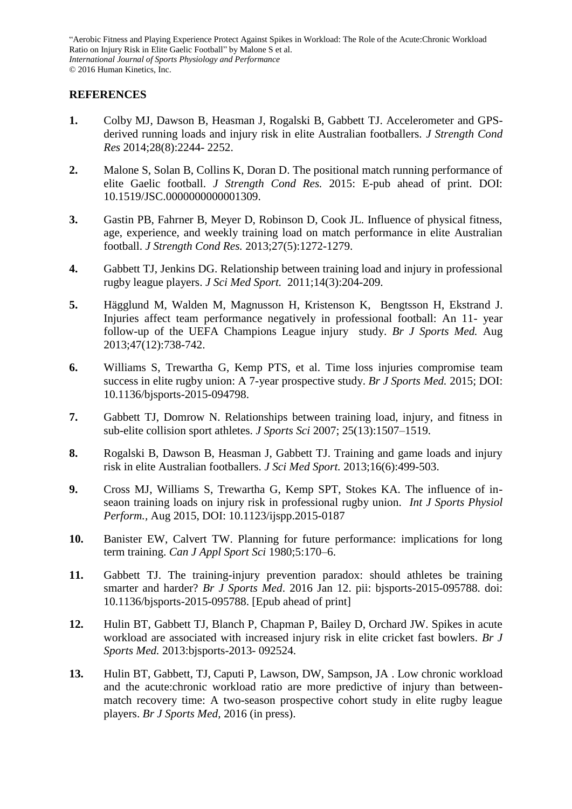# **REFERENCES**

- **1.** Colby MJ, Dawson B, Heasman J, Rogalski B, Gabbett TJ. Accelerometer and GPSderived running loads and injury risk in elite Australian footballers. *J Strength Cond Res* 2014;28(8):2244- 2252.
- **2.** Malone S, Solan B, Collins K, Doran D. The positional match running performance of elite Gaelic football. *J Strength Cond Res.* 2015: E-pub ahead of print. DOI: 10.1519/JSC.0000000000001309.
- **3.** Gastin PB, Fahrner B, Meyer D, Robinson D, Cook JL. Influence of physical fitness, age, experience, and weekly training load on match performance in elite Australian football. *J Strength Cond Res.* 2013;27(5):1272-1279.
- **4.** Gabbett TJ, Jenkins DG. Relationship between training load and injury in professional rugby league players. *J Sci Med Sport.* 2011;14(3):204-209.
- **5.** Hägglund M, Walden M, Magnusson H, Kristenson K, Bengtsson H, Ekstrand J. Injuries affect team performance negatively in professional football: An 11- year follow-up of the UEFA Champions League injury study. *Br J Sports Med.* Aug 2013;47(12):738-742.
- **6.** Williams S, Trewartha G, Kemp PTS, et al. Time loss injuries compromise team success in elite rugby union: A 7-year prospective study. *Br J Sports Med.* 2015; DOI: 10.1136/bjsports-2015-094798.
- **7.** Gabbett TJ, Domrow N. Relationships between training load, injury, and fitness in sub-elite collision sport athletes. *J Sports Sci* 2007; 25(13):1507–1519.
- **8.** Rogalski B, Dawson B, Heasman J, Gabbett TJ. Training and game loads and injury risk in elite Australian footballers. *J Sci Med Sport.* 2013;16(6):499-503.
- **9.** Cross MJ, Williams S, Trewartha G, Kemp SPT, Stokes KA. The influence of inseaon training loads on injury risk in professional rugby union. *Int J Sports Physiol Perform.,* Aug 2015, DOI: 10.1123/ijspp.2015-0187
- **10.** Banister EW, Calvert TW. Planning for future performance: implications for long term training. *Can J Appl Sport Sci* 1980;5:170–6.
- **11.** Gabbett TJ. The training-injury prevention paradox: should athletes be training smarter and harder? *Br J Sports Med*. 2016 Jan 12. pii: bjsports-2015-095788. doi: 10.1136/bjsports-2015-095788. [Epub ahead of print]
- **12.** Hulin BT, Gabbett TJ, Blanch P, Chapman P, Bailey D, Orchard JW. Spikes in acute workload are associated with increased injury risk in elite cricket fast bowlers. *Br J Sports Med.* 2013:bjsports-2013- 092524.
- **13.** Hulin BT, Gabbett, TJ, Caputi P, Lawson, DW, Sampson, JA . Low chronic workload and the acute:chronic workload ratio are more predictive of injury than betweenmatch recovery time: A two-season prospective cohort study in elite rugby league players. *Br J Sports Med,* 2016 (in press).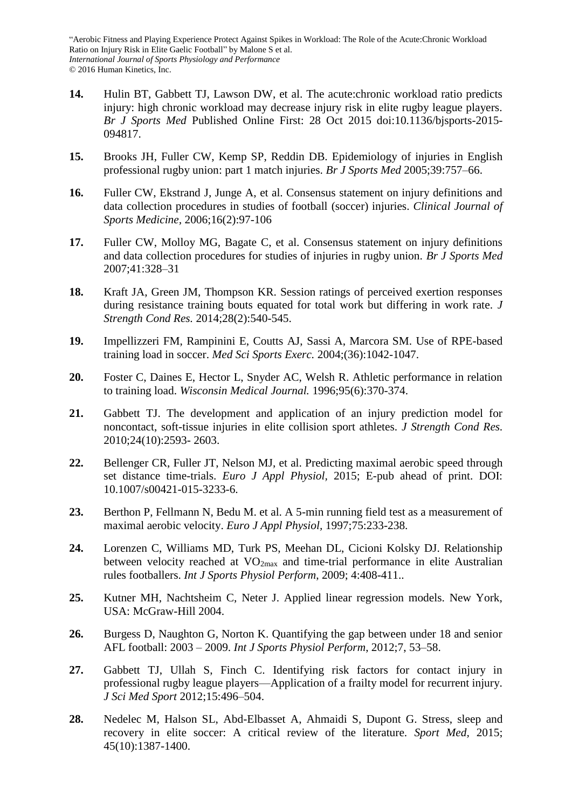- **14.** Hulin BT, Gabbett TJ, Lawson DW, et al. The acute:chronic workload ratio predicts injury: high chronic workload may decrease injury risk in elite rugby league players. *Br J Sports Med* Published Online First: 28 Oct 2015 doi:10.1136/bjsports-2015- 094817.
- **15.** Brooks JH, Fuller CW, Kemp SP, Reddin DB. Epidemiology of injuries in English professional rugby union: part 1 match injuries. *Br J Sports Med* 2005;39:757–66.
- **16.** Fuller CW, Ekstrand J, Junge A, et al. Consensus statement on injury definitions and data collection procedures in studies of football (soccer) injuries. *Clinical Journal of Sports Medicine,* 2006;16(2):97-106
- **17.** Fuller CW, Molloy MG, Bagate C, et al. Consensus statement on injury definitions and data collection procedures for studies of injuries in rugby union. *Br J Sports Med* 2007;41:328–31
- **18.** Kraft JA, Green JM, Thompson KR. Session ratings of perceived exertion responses during resistance training bouts equated for total work but differing in work rate. *J Strength Cond Res.* 2014;28(2):540-545.
- **19.** Impellizzeri FM, Rampinini E, Coutts AJ, Sassi A, Marcora SM. Use of RPE-based training load in soccer. *Med Sci Sports Exerc.* 2004;(36):1042-1047.
- **20.** Foster C, Daines E, Hector L, Snyder AC, Welsh R. Athletic performance in relation to training load. *Wisconsin Medical Journal.* 1996;95(6):370-374.
- **21.** Gabbett TJ. The development and application of an injury prediction model for noncontact, soft-tissue injuries in elite collision sport athletes. *J Strength Cond Res.*  2010;24(10):2593- 2603.
- **22.** Bellenger CR, Fuller JT, Nelson MJ, et al. Predicting maximal aerobic speed through set distance time-trials. *Euro J Appl Physiol,* 2015; E-pub ahead of print. DOI: 10.1007/s00421-015-3233-6.
- **23.** Berthon P, Fellmann N, Bedu M. et al. A 5-min running field test as a measurement of maximal aerobic velocity. *Euro J Appl Physiol,* 1997;75:233-238.
- **24.** Lorenzen C, Williams MD, Turk PS, Meehan DL, Cicioni Kolsky DJ. Relationship between velocity reached at VO<sub>2max</sub> and time-trial performance in elite Australian rules footballers. *Int J Sports Physiol Perform*, 2009; 4:408-411..
- **25.** Kutner MH, Nachtsheim C, Neter J. Applied linear regression models. New York, USA: McGraw-Hill 2004.
- **26.** Burgess D, Naughton G, Norton K. Quantifying the gap between under 18 and senior AFL football: 2003 – 2009. *Int J Sports Physiol Perform*, 2012;7, 53–58.
- **27.** Gabbett TJ, Ullah S, Finch C. Identifying risk factors for contact injury in professional rugby league players—Application of a frailty model for recurrent injury. *J Sci Med Sport* 2012;15:496–504.
- **28.** Nedelec M, Halson SL, Abd-Elbasset A, Ahmaidi S, Dupont G. Stress, sleep and recovery in elite soccer: A critical review of the literature. *Sport Med,* 2015; 45(10):1387-1400.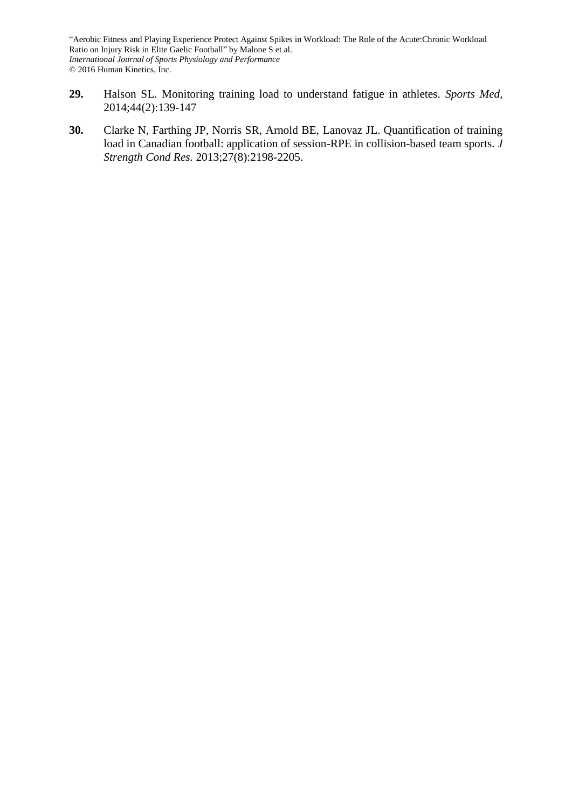- **29.** Halson SL. Monitoring training load to understand fatigue in athletes. *Sports Med,*  2014;44(2):139-147
- **30.** Clarke N, Farthing JP, Norris SR, Arnold BE, Lanovaz JL. Quantification of training load in Canadian football: application of session-RPE in collision-based team sports. *J Strength Cond Res.* 2013;27(8):2198-2205.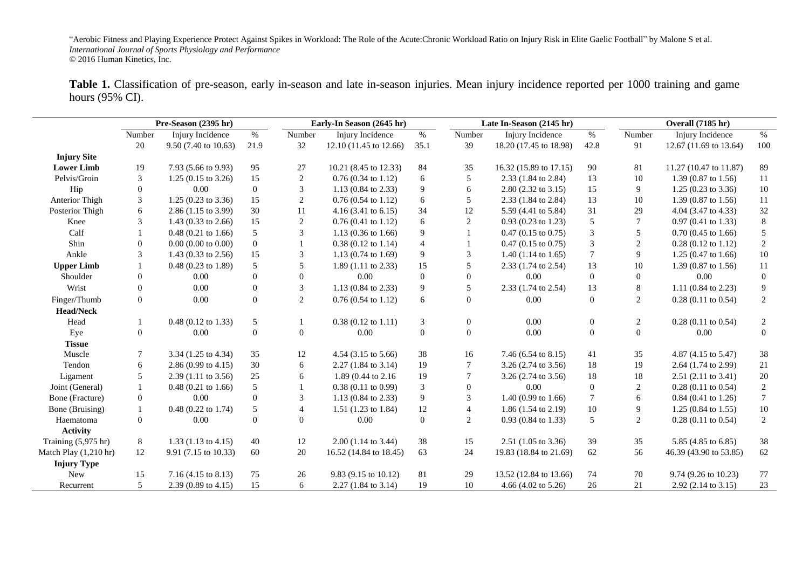Table 1. Classification of pre-season, early in-season and late in-season injuries. Mean injury incidence reported per 1000 training and game hours (95% CI).

|                       | Pre-Season (2395 hr) |                                |                | Early-In Season (2645 hr) |                                | Late In-Season (2145 hr) |                  | Overall (7185 hr)              |                  |                |                                |                  |
|-----------------------|----------------------|--------------------------------|----------------|---------------------------|--------------------------------|--------------------------|------------------|--------------------------------|------------------|----------------|--------------------------------|------------------|
|                       | Number               | Injury Incidence               | $\%$           | Number                    | Injury Incidence               | $\%$                     | Number           | Injury Incidence               | $\%$             | Number         | Injury Incidence               | $\%$             |
|                       | 20                   | 9.50 (7.40 to 10.63)           | 21.9           | 32                        | 12.10 (11.45 to 12.66)         | 35.1                     | 39               | 18.20 (17.45 to 18.98)         | 42.8             | 91             | 12.67 (11.69 to 13.64)         | 100              |
| <b>Injury Site</b>    |                      |                                |                |                           |                                |                          |                  |                                |                  |                |                                |                  |
| <b>Lower Limb</b>     | 19                   | 7.93 (5.66 to 9.93)            | 95             | 27                        | 10.21 (8.45 to 12.33)          | 84                       | 35               | 16.32 (15.89 to 17.15)         | 90               | 81             | 11.27 (10.47 to 11.87)         | 89               |
| Pelvis/Groin          | 3                    | $1.25(0.15 \text{ to } 3.26)$  | 15             | 2                         | $0.76(0.34 \text{ to } 1.12)$  | 6                        | 5                | 2.33 (1.84 to 2.84)            | 13               | 10             | 1.39 (0.87 to 1.56)            | 11               |
| Hip                   | $\boldsymbol{0}$     | 0.00                           | $\overline{0}$ | 3                         | 1.13 (0.84 to 2.33)            | 9                        | 6                | 2.80 (2.32 to 3.15)            | 15               | 9              | $1.25(0.23 \text{ to } 3.36)$  | 10               |
| Anterior Thigh        | 3                    | $1.25(0.23 \text{ to } 3.36)$  | 15             | $\overline{c}$            | $0.76(0.54 \text{ to } 1.12)$  | 6                        | 5                | $2.33(1.84 \text{ to } 2.84)$  | 13               | 10             | 1.39 $(0.87 \text{ to } 1.56)$ | 11               |
| Posterior Thigh       | 6                    | 2.86 (1.15 to 3.99)            | 30             | 11                        | $4.16(3.41 \text{ to } 6.15)$  | 34                       | 12               | 5.59 (4.41 to 5.84)            | 31               | 29             | 4.04 (3.47 to 4.33)            | $32\,$           |
| Knee                  | 3                    | 1.43 (0.33 to 2.66)            | 15             | $\overline{c}$            | $0.76(0.41 \text{ to } 1.12)$  | 6                        | $\overline{2}$   | $0.93(0.23 \text{ to } 1.23)$  | 5                |                | $0.97(0.41 \text{ to } 1.33)$  | $\,8\,$          |
| Calf                  |                      | $0.48$ (0.21 to 1.66)          | 5              | 3                         | 1.13 (0.36 to 1.66)            | 9                        |                  | $0.47(0.15 \text{ to } 0.75)$  | $\mathfrak{Z}$   | 5              | $0.70(0.45 \text{ to } 1.66)$  | $\sqrt{5}$       |
| Shin                  | $\theta$             | $0.00$ (0.00 to 0.00)          | $\mathbf{0}$   |                           | $0.38(0.12 \text{ to } 1.14)$  | $\overline{4}$           |                  | $0.47(0.15 \text{ to } 0.75)$  | $\mathfrak{Z}$   | $\overline{2}$ | $0.28$ (0.12 to 1.12)          | $\sqrt{2}$       |
| Ankle                 | $\mathcal{R}$        | 1.43 $(0.33 \text{ to } 2.56)$ | 15             | 3                         | 1.13 $(0.74 \text{ to } 1.69)$ | $\overline{9}$           | 3                | $1.40(1.14 \text{ to } 1.65)$  | $\boldsymbol{7}$ | 9              | $1.25(0.47 \text{ to } 1.66)$  | 10               |
| <b>Upper Limb</b>     |                      | $0.48(0.23 \text{ to } 1.89)$  | 5              | 5                         | $1.89(1.11 \text{ to } 2.33)$  | 15                       | 5                | 2.33 (1.74 to 2.54)            | 13               | 10             | 1.39 (0.87 to 1.56)            | 11               |
| Shoulder              | $\theta$             | 0.00                           | $\overline{0}$ | $\boldsymbol{0}$          | 0.00                           | $\Omega$                 | $\Omega$         | 0.00                           | $\mathbf{0}$     | $\overline{0}$ | 0.00                           | $\boldsymbol{0}$ |
| Wrist                 | $\overline{0}$       | 0.00                           | $\Omega$       | 3                         | 1.13 (0.84 to 2.33)            | 9                        | 5                | 2.33 (1.74 to 2.54)            | 13               | 8              | 1.11 (0.84 to 2.23)            | 9                |
| Finger/Thumb          | $\boldsymbol{0}$     | 0.00                           | $\theta$       | $\mathfrak{2}$            | $0.76(0.54 \text{ to } 1.12)$  | 6                        | $\overline{0}$   | 0.00                           | $\overline{0}$   | $\overline{2}$ | $0.28(0.11)$ to $0.54$ )       | $\mathbf{2}$     |
| <b>Head/Neck</b>      |                      |                                |                |                           |                                |                          |                  |                                |                  |                |                                |                  |
| Head                  |                      | $0.48$ (0.12 to 1.33)          | 5              |                           | $0.38(0.12 \text{ to } 1.11)$  | 3                        | $\boldsymbol{0}$ | 0.00                           | $\mathbf{0}$     | 2              | $0.28$ (0.11 to 0.54)          | 2                |
| Eye                   | $\overline{0}$       | 0.00                           | $\Omega$       | $\Omega$                  | 0.00                           | $\Omega$                 | $\Omega$         | 0.00                           | $\overline{0}$   | $\Omega$       | 0.00                           | $\overline{0}$   |
| <b>Tissue</b>         |                      |                                |                |                           |                                |                          |                  |                                |                  |                |                                |                  |
| Muscle                | 7                    | 3.34 (1.25 to 4.34)            | 35             | 12                        | 4.54 (3.15 to 5.66)            | 38                       | 16               | 7.46 (6.54 to 8.15)            | 41               | 35             | 4.87 (4.15 to 5.47)            | 38               |
| Tendon                | 6                    | 2.86 (0.99 to 4.15)            | 30             | 6                         | $2.27(1.84 \text{ to } 3.14)$  | 19                       | $\tau$           | $3.26$ (2.74 to 3.56)          | 18               | 19             | 2.64 (1.74 to 2.99)            | 21               |
| Ligament              | 5                    | $2.39(1.11 \text{ to } 3.56)$  | 25             | 6                         | 1.89 (0.44 to 2.16)            | 19                       | $\overline{7}$   | 3.26 (2.74 to 3.56)            | 18               | 18             | 2.51 (2.11 to 3.41)            | 20               |
| Joint (General)       |                      | $0.48$ (0.21 to 1.66)          | 5              |                           | $0.38(0.11)$ to $0.99$ )       | 3                        | $\theta$         | 0.00                           | $\boldsymbol{0}$ | 2              | $0.28$ (0.11 to 0.54)          | $\sqrt{2}$       |
| Bone (Fracture)       | $\boldsymbol{0}$     | 0.00                           | $\overline{0}$ | 3                         | 1.13 $(0.84 \text{ to } 2.33)$ | 9                        | 3                | 1.40 $(0.99 \text{ to } 1.66)$ | $\tau$           | 6              | $0.84$ (0.41 to 1.26)          | $\overline{7}$   |
| Bone (Bruising)       | $\mathbf{1}$         | $0.48$ (0.22 to 1.74)          | 5              | $\overline{4}$            | 1.51 (1.23 to 1.84)            | 12                       | $\overline{4}$   | $1.86(1.54 \text{ to } 2.19)$  | 10               | 9              | $1.25(0.84 \text{ to } 1.55)$  | $10\,$           |
| Haematoma             | $\overline{0}$       | 0.00                           | $\Omega$       | $\Omega$                  | 0.00                           | $\Omega$                 | $\overline{2}$   | $0.93$ (0.84 to 1.33)          | 5                | $\overline{2}$ | $0.28$ (0.11 to 0.54)          | 2                |
| <b>Activity</b>       |                      |                                |                |                           |                                |                          |                  |                                |                  |                |                                |                  |
| Training (5,975 hr)   | 8                    | $1.33(1.13 \text{ to } 4.15)$  | 40             | $12\,$                    | $2.00(1.14 \text{ to } 3.44)$  | 38                       | 15               | $2.51(1.05 \text{ to } 3.36)$  | 39               | 35             | 5.85 (4.85 to 6.85)            | 38               |
| Match Play (1,210 hr) | 12                   | 9.91 (7.15 to 10.33)           | 60             | 20                        | 16.52 (14.84 to 18.45)         | 63                       | 24               | 19.83 (18.84 to 21.69)         | 62               | 56             | 46.39 (43.90 to 53.85)         | 62               |
| <b>Injury Type</b>    |                      |                                |                |                           |                                |                          |                  |                                |                  |                |                                |                  |
| New                   | 15                   | 7.16 (4.15 to 8.13)            | 75             | 26                        | 9.83 (9.15 to 10.12)           | 81                       | 29               | 13.52 (12.84 to 13.66)         | 74               | 70             | 9.74 (9.26 to 10.23)           | 77               |
| Recurrent             | 5                    | 2.39 (0.89 to 4.15)            | 15             | 6                         | 2.27 (1.84 to 3.14)            | 19                       | 10               | 4.66 (4.02 to $5.26$ )         | 26               | 21             | 2.92 (2.14 to 3.15)            | 23               |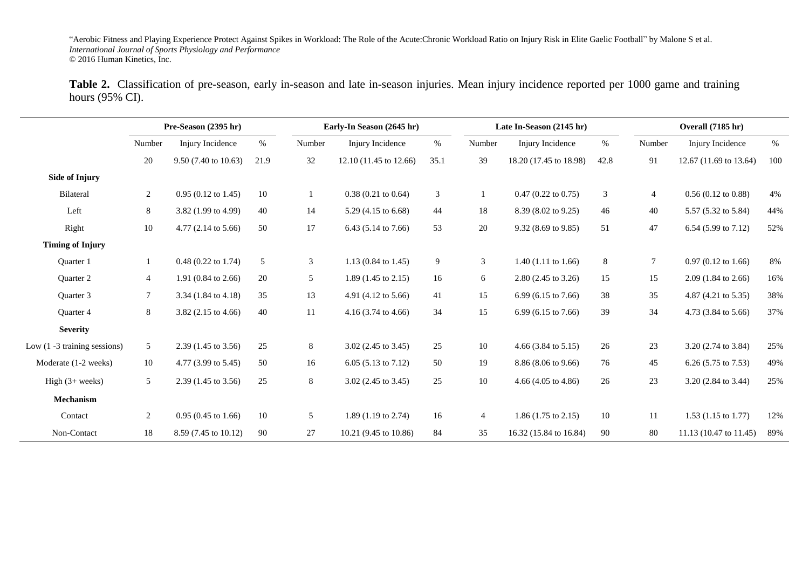Table 2. Classification of pre-season, early in-season and late in-season injuries. Mean injury incidence reported per 1000 game and training hours (95% CI).

|                                 | Pre-Season (2395 hr) |                                | Early-In Season (2645 hr) |                | Late In-Season (2145 hr)       |                |                | Overall (7185 hr)              |                |                  |                                |       |
|---------------------------------|----------------------|--------------------------------|---------------------------|----------------|--------------------------------|----------------|----------------|--------------------------------|----------------|------------------|--------------------------------|-------|
|                                 | Number               | Injury Incidence               | $\%$                      | Number         | Injury Incidence               | %              | Number         | Injury Incidence               | $\%$           | Number           | Injury Incidence               | $\%$  |
|                                 | $20\,$               | 9.50 (7.40 to 10.63)           | 21.9                      | 32             | 12.10 (11.45 to 12.66)         | 35.1           | 39             | 18.20 (17.45 to 18.98)         | 42.8           | 91               | 12.67 (11.69 to 13.64)         | 100   |
| <b>Side of Injury</b>           |                      |                                |                           |                |                                |                |                |                                |                |                  |                                |       |
| Bilateral                       | $\overline{2}$       | $0.95(0.12 \text{ to } 1.45)$  | 10                        |                | $0.38(0.21 \text{ to } 0.64)$  | $\mathfrak{Z}$ |                | $0.47$ (0.22 to 0.75)          | $\mathfrak{Z}$ | $\overline{4}$   | $0.56(0.12 \text{ to } 0.88)$  | 4%    |
| Left                            | 8                    | 3.82 (1.99 to 4.99)            | 40                        | 14             | 5.29 (4.15 to 6.68)            | 44             | 18             | 8.39 (8.02 to 9.25)            | 46             | 40               | 5.57 (5.32 to 5.84)            | 44%   |
| Right                           | 10                   | 4.77 (2.14 to 5.66)            | 50                        | 17             | 6.43 (5.14 to 7.66)            | 53             | 20             | 9.32 (8.69 to 9.85)            | 51             | 47               | 6.54 (5.99 to 7.12)            | 52%   |
| <b>Timing of Injury</b>         |                      |                                |                           |                |                                |                |                |                                |                |                  |                                |       |
| Quarter 1                       | 1                    | $0.48$ (0.22 to 1.74)          | $\sqrt{5}$                | $\mathfrak{Z}$ | 1.13 (0.84 to 1.45)            | 9              | $\mathfrak{Z}$ | 1.40 $(1.11$ to 1.66)          | $\,8\,$        | $\boldsymbol{7}$ | $0.97$ (0.12 to 1.66)          | $8\%$ |
| Quarter 2                       | $\overline{4}$       | 1.91 (0.84 to 2.66)            | 20                        | 5              | 1.89 $(1.45 \text{ to } 2.15)$ | 16             | 6              | 2.80 (2.45 to 3.26)            | 15             | 15               | $2.09$ (1.84 to 2.66)          | 16%   |
| Quarter 3                       | $7\overline{ }$      | 3.34 (1.84 to 4.18)            | 35                        | 13             | 4.91 (4.12 to 5.66)            | 41             | 15             | 6.99 (6.15 to 7.66)            | 38             | 35               | 4.87 (4.21 to 5.35)            | 38%   |
| Quarter 4                       | 8                    | 3.82 $(2.15 \text{ to } 4.66)$ | 40                        | 11             | 4.16 $(3.74 \text{ to } 4.66)$ | 34             | 15             | 6.99 (6.15 to 7.66)            | 39             | 34               | 4.73 (3.84 to 5.66)            | 37%   |
| <b>Severity</b>                 |                      |                                |                           |                |                                |                |                |                                |                |                  |                                |       |
| Low $(1 - 3$ training sessions) | 5                    | 2.39 (1.45 to 3.56)            | 25                        | 8              | 3.02 (2.45 to 3.45)            | 25             | 10             | 4.66 $(3.84 \text{ to } 5.15)$ | 26             | $23\,$           | 3.20 (2.74 to 3.84)            | 25%   |
| Moderate (1-2 weeks)            | $10\,$               | 4.77 (3.99 to 5.45)            | 50                        | 16             | 6.05 $(5.13 \text{ to } 7.12)$ | 50             | 19             | 8.86 (8.06 to 9.66)            | 76             | 45               | 6.26 $(5.75 \text{ to } 7.53)$ | 49%   |
| High $(3+$ weeks)               | 5                    | 2.39 (1.45 to 3.56)            | 25                        | 8              | 3.02 (2.45 to 3.45)            | 25             | 10             | 4.66 $(4.05 \text{ to } 4.86)$ | 26             | 23               | 3.20 (2.84 to 3.44)            | 25%   |
| Mechanism                       |                      |                                |                           |                |                                |                |                |                                |                |                  |                                |       |
| Contact                         | $\overline{2}$       | $0.95(0.45 \text{ to } 1.66)$  | $10\,$                    | 5              | 1.89 $(1.19 \text{ to } 2.74)$ | 16             | $\overline{4}$ | 1.86 $(1.75 \text{ to } 2.15)$ | 10             | 11               | 1.53 $(1.15 \text{ to } 1.77)$ | 12%   |
| Non-Contact                     | 18                   | 8.59 (7.45 to 10.12)           | 90                        | $27\,$         | 10.21 (9.45 to 10.86)          | 84             | 35             | 16.32 (15.84 to 16.84)         | 90             | 80               | 11.13 (10.47 to 11.45)         | 89%   |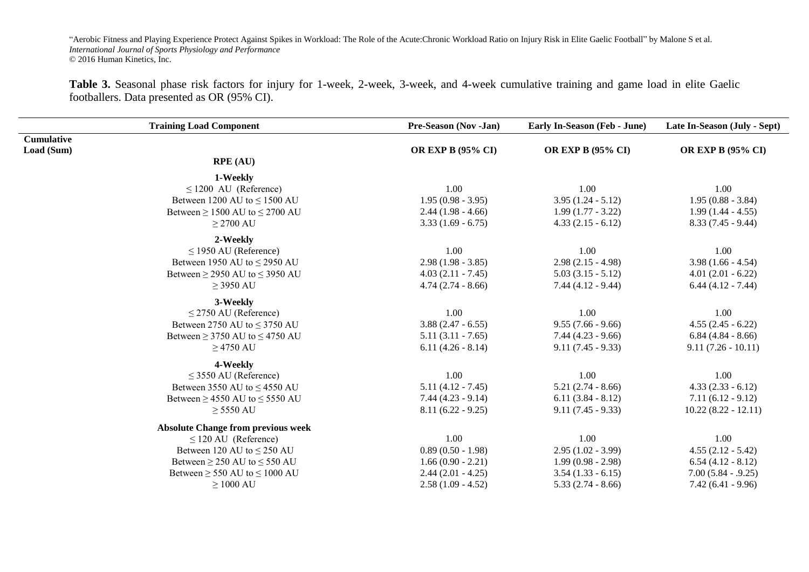**Table 3.** Seasonal phase risk factors for injury for 1-week, 2-week, 3-week, and 4-week cumulative training and game load in elite Gaelic footballers. Data presented as OR (95% CI).

|                   | <b>Training Load Component</b>            | Pre-Season (Nov -Jan)    | Early In-Season (Feb - June) | Late In-Season (July - Sept) |
|-------------------|-------------------------------------------|--------------------------|------------------------------|------------------------------|
| <b>Cumulative</b> |                                           |                          |                              |                              |
| Load (Sum)        |                                           | <b>OR EXP B (95% CI)</b> | <b>OR EXP B (95% CI)</b>     | <b>OR EXP B (95% CI)</b>     |
|                   | <b>RPE (AU)</b>                           |                          |                              |                              |
|                   | 1-Weekly                                  |                          |                              |                              |
|                   | $\leq$ 1200 AU (Reference)                | 1.00                     | 1.00                         | 1.00                         |
|                   | Between 1200 AU to $\leq$ 1500 AU         | $1.95(0.98 - 3.95)$      | $3.95(1.24 - 5.12)$          | $1.95(0.88 - 3.84)$          |
|                   | Between $\geq$ 1500 AU to $\leq$ 2700 AU  | $2.44(1.98 - 4.66)$      | $1.99(1.77 - 3.22)$          | $1.99(1.44 - 4.55)$          |
|                   | $\geq$ 2700 AU                            | $3.33(1.69 - 6.75)$      | $4.33(2.15 - 6.12)$          | $8.33(7.45 - 9.44)$          |
|                   | 2-Weekly                                  |                          |                              |                              |
|                   | $\leq$ 1950 AU (Reference)                | 1.00                     | 1.00                         | 1.00                         |
|                   | Between 1950 AU to $\leq$ 2950 AU         | $2.98(1.98 - 3.85)$      | $2.98(2.15 - 4.98)$          | $3.98(1.66 - 4.54)$          |
|                   | Between $\geq$ 2950 AU to $\leq$ 3950 AU  | $4.03(2.11 - 7.45)$      | $5.03(3.15 - 5.12)$          | $4.01(2.01 - 6.22)$          |
|                   | $\geq$ 3950 AU                            | $4.74(2.74 - 8.66)$      | $7.44(4.12 - 9.44)$          | $6.44(4.12 - 7.44)$          |
|                   | 3-Weekly                                  |                          |                              |                              |
|                   | $\leq$ 2750 AU (Reference)                | 1.00                     | 1.00                         | 1.00                         |
|                   | Between 2750 AU to $\leq$ 3750 AU         | $3.88(2.47 - 6.55)$      | $9.55(7.66 - 9.66)$          | $4.55(2.45 - 6.22)$          |
|                   | Between $\geq$ 3750 AU to $\leq$ 4750 AU  | $5.11(3.11 - 7.65)$      | $7.44(4.23 - 9.66)$          | $6.84(4.84 - 8.66)$          |
|                   | $\geq$ 4750 AU                            | $6.11(4.26 - 8.14)$      | $9.11(7.45 - 9.33)$          | $9.11(7.26 - 10.11)$         |
|                   | 4-Weekly                                  |                          |                              |                              |
|                   | $\leq$ 3550 AU (Reference)                | 1.00                     | 1.00                         | 1.00                         |
|                   | Between 3550 AU to $\leq$ 4550 AU         | $5.11(4.12 - 7.45)$      | $5.21(2.74 - 8.66)$          | $4.33(2.33 - 6.12)$          |
|                   | Between $\geq$ 4550 AU to $\leq$ 5550 AU  | $7.44(4.23 - 9.14)$      | $6.11(3.84 - 8.12)$          | $7.11(6.12 - 9.12)$          |
|                   | $\geq$ 5550 AU                            | $8.11(6.22 - 9.25)$      | $9.11(7.45 - 9.33)$          | $10.22(8.22 - 12.11)$        |
|                   | <b>Absolute Change from previous week</b> |                          |                              |                              |
|                   | $\leq$ 120 AU (Reference)                 | 1.00                     | 1.00                         | 1.00                         |
|                   | Between 120 AU to $\leq$ 250 AU           | $0.89(0.50 - 1.98)$      | $2.95(1.02 - 3.99)$          | $4.55(2.12 - 5.42)$          |
|                   | Between $\geq$ 250 AU to $\leq$ 550 AU    | $1.66(0.90 - 2.21)$      | $1.99(0.98 - 2.98)$          | $6.54(4.12 - 8.12)$          |
|                   | Between $\geq$ 550 AU to $\leq$ 1000 AU   | $2.44(2.01 - 4.25)$      | $3.54(1.33 - 6.15)$          | $7.00(5.84 - 0.9.25)$        |
|                   | $\geq 1000 \text{ AU}$                    | $2.58(1.09 - 4.52)$      | $5.33(2.74 - 8.66)$          | $7.42(6.41 - 9.96)$          |
|                   |                                           |                          |                              |                              |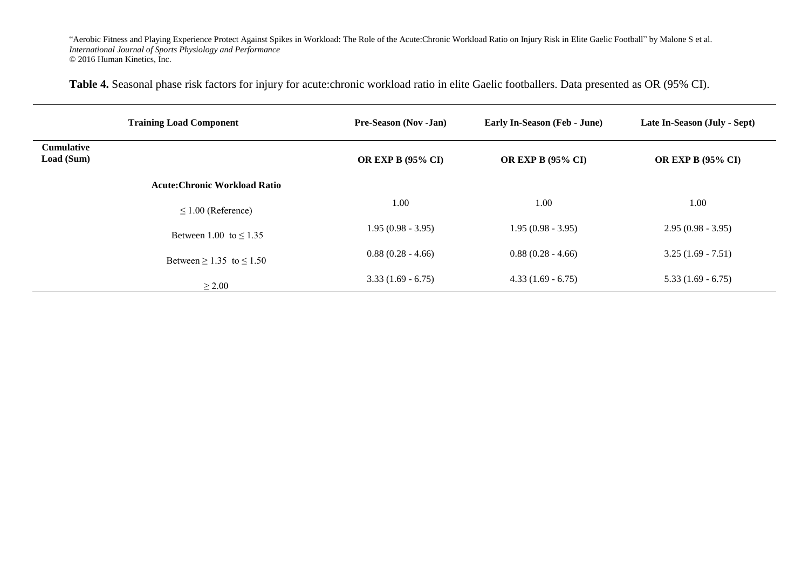**Table 4.** Seasonal phase risk factors for injury for acute:chronic workload ratio in elite Gaelic footballers. Data presented as OR (95% CI).

|                                 | <b>Training Load Component</b>       | <b>Pre-Season (Nov -Jan)</b> | Early In-Season (Feb - June) | Late In-Season (July - Sept) |
|---------------------------------|--------------------------------------|------------------------------|------------------------------|------------------------------|
| <b>Cumulative</b><br>Load (Sum) |                                      | <b>OR EXP B (95% CI)</b>     | <b>OR EXP B (95% CI)</b>     | <b>OR EXP B (95% CI)</b>     |
|                                 | <b>Acute: Chronic Workload Ratio</b> |                              |                              |                              |
|                                 | $\leq 1.00$ (Reference)              | 1.00                         | 1.00                         | 1.00                         |
|                                 | Between 1.00 to $\leq$ 1.35          | $1.95(0.98 - 3.95)$          | $1.95(0.98 - 3.95)$          | $2.95(0.98 - 3.95)$          |
|                                 | Between $\geq 1.35$ to $\leq 1.50$   | $0.88(0.28 - 4.66)$          | $0.88(0.28 - 4.66)$          | $3.25(1.69 - 7.51)$          |
|                                 | $\geq 2.00$                          | $3.33(1.69 - 6.75)$          | $4.33(1.69 - 6.75)$          | $5.33(1.69 - 6.75)$          |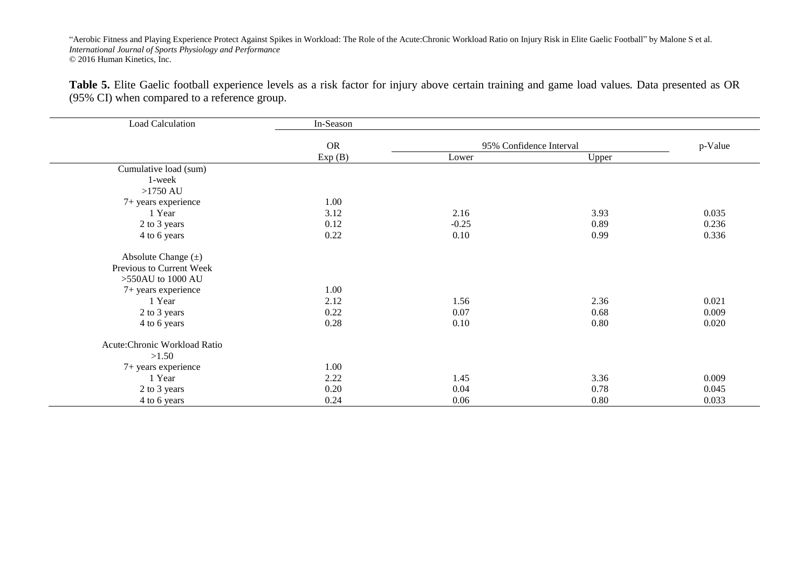**Table 5.** Elite Gaelic football experience levels as a risk factor for injury above certain training and game load values. Data presented as OR (95% CI) when compared to a reference group.

| <b>Load Calculation</b>       | In-Season |         |                         |         |
|-------------------------------|-----------|---------|-------------------------|---------|
|                               | <b>OR</b> |         | 95% Confidence Interval | p-Value |
|                               | Exp(B)    | Lower   | Upper                   |         |
| Cumulative load (sum)         |           |         |                         |         |
| 1-week                        |           |         |                         |         |
| $>1750$ AU                    |           |         |                         |         |
| 7+ years experience           | 1.00      |         |                         |         |
| 1 Year                        | 3.12      | 2.16    | 3.93                    | 0.035   |
| 2 to 3 years                  | 0.12      | $-0.25$ | 0.89                    | 0.236   |
| 4 to 6 years                  | 0.22      | 0.10    | 0.99                    | 0.336   |
| Absolute Change $(\pm)$       |           |         |                         |         |
| Previous to Current Week      |           |         |                         |         |
| >550AU to 1000 AU             |           |         |                         |         |
| 7+ years experience           | 1.00      |         |                         |         |
| 1 Year                        | 2.12      | 1.56    | 2.36                    | 0.021   |
| 2 to 3 years                  | 0.22      | 0.07    | 0.68                    | 0.009   |
| 4 to 6 years                  | 0.28      | 0.10    | 0.80                    | 0.020   |
| Acute: Chronic Workload Ratio |           |         |                         |         |
| >1.50                         |           |         |                         |         |
| 7+ years experience           | 1.00      |         |                         |         |
| 1 Year                        | 2.22      | 1.45    | 3.36                    | 0.009   |
| 2 to 3 years                  | 0.20      | 0.04    | 0.78                    | 0.045   |
| 4 to 6 years                  | 0.24      | 0.06    | 0.80                    | 0.033   |